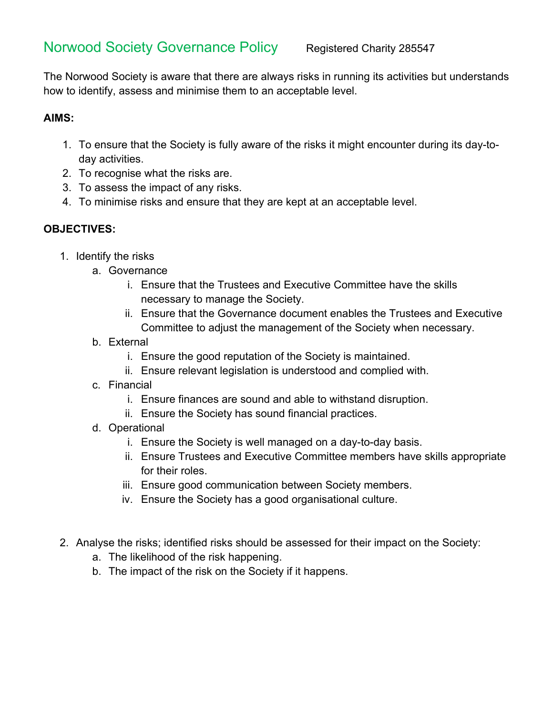# Norwood Society Governance Policy Registered Charity 285547

The Norwood Society is aware that there are always risks in running its activities but understands how to identify, assess and minimise them to an acceptable level.

# **AIMS:**

- 1. To ensure that the Society is fully aware of the risks it might encounter during its day-today activities.
- 2. To recognise what the risks are.
- 3. To assess the impact of any risks.
- 4. To minimise risks and ensure that they are kept at an acceptable level.

# **OBJECTIVES:**

- 1. Identify the risks
	- a. Governance
		- i. Ensure that the Trustees and Executive Committee have the skills necessary to manage the Society.
		- ii. Ensure that the Governance document enables the Trustees and Executive Committee to adjust the management of the Society when necessary.
	- b. External
		- i. Ensure the good reputation of the Society is maintained.
		- ii. Ensure relevant legislation is understood and complied with.
	- c. Financial
		- i. Ensure finances are sound and able to withstand disruption.
		- ii. Ensure the Society has sound financial practices.
	- d. Operational
		- i. Ensure the Society is well managed on a day-to-day basis.
		- ii. Ensure Trustees and Executive Committee members have skills appropriate for their roles.
		- iii. Ensure good communication between Society members.
		- iv. Ensure the Society has a good organisational culture.
- 2. Analyse the risks; identified risks should be assessed for their impact on the Society:
	- a. The likelihood of the risk happening.
	- b. The impact of the risk on the Society if it happens.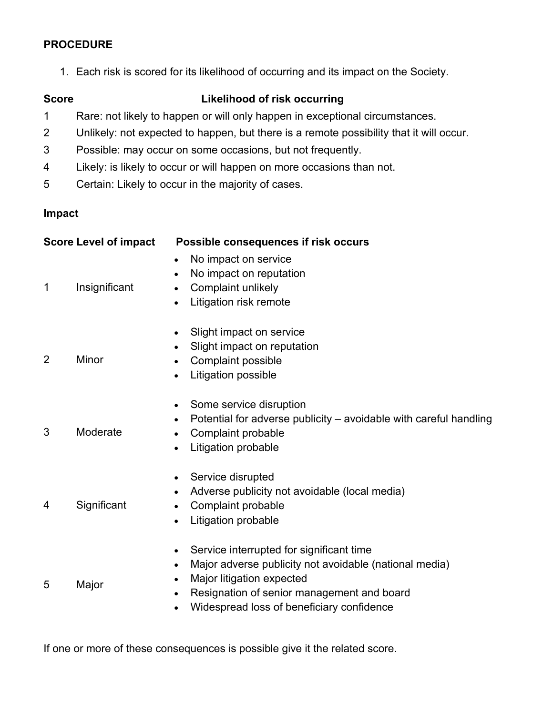#### **PROCEDURE**

1. Each risk is scored for its likelihood of occurring and its impact on the Society.

## **Score Likelihood of risk occurring**

- 1 Rare: not likely to happen or will only happen in exceptional circumstances.
- 2 Unlikely: not expected to happen, but there is a remote possibility that it will occur.
- 3 Possible: may occur on some occasions, but not frequently.
- 4 Likely: is likely to occur or will happen on more occasions than not.
- 5 Certain: Likely to occur in the majority of cases.

#### **Impact**

| <b>Score Level of impact</b> |               | Possible consequences if risk occurs                                                                                                                                                                                                                                                        |
|------------------------------|---------------|---------------------------------------------------------------------------------------------------------------------------------------------------------------------------------------------------------------------------------------------------------------------------------------------|
| $\mathbf 1$                  | Insignificant | No impact on service<br>No impact on reputation<br>$\bullet$<br>Complaint unlikely<br>$\bullet$<br>Litigation risk remote<br>$\bullet$                                                                                                                                                      |
| 2                            | Minor         | Slight impact on service<br>$\bullet$<br>Slight impact on reputation<br>$\bullet$<br>Complaint possible<br>$\bullet$<br>Litigation possible<br>$\bullet$                                                                                                                                    |
| 3                            | Moderate      | Some service disruption<br>$\bullet$<br>Potential for adverse publicity – avoidable with careful handling<br>$\bullet$<br>Complaint probable<br>$\bullet$<br>Litigation probable<br>$\bullet$                                                                                               |
| 4                            | Significant   | Service disrupted<br>$\bullet$<br>Adverse publicity not avoidable (local media)<br>$\bullet$<br>Complaint probable<br>$\bullet$<br>Litigation probable<br>$\bullet$                                                                                                                         |
| 5                            | Major         | Service interrupted for significant time<br>$\bullet$<br>Major adverse publicity not avoidable (national media)<br>$\bullet$<br>Major litigation expected<br>$\bullet$<br>Resignation of senior management and board<br>$\bullet$<br>Widespread loss of beneficiary confidence<br>$\bullet$ |

If one or more of these consequences is possible give it the related score.